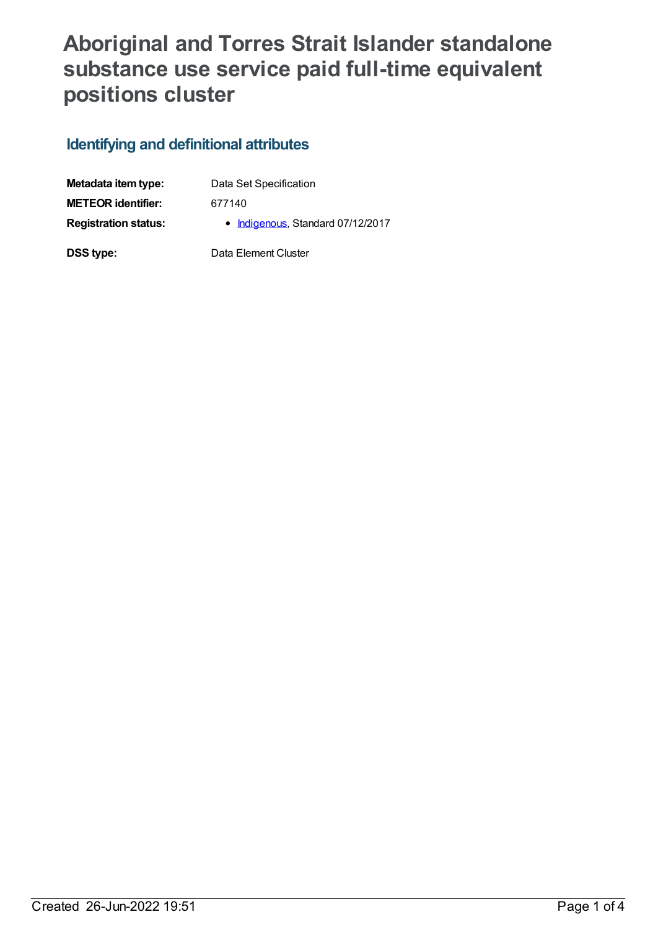## **Aboriginal and Torres Strait Islander standalone substance use service paid full-time equivalent positions cluster**

### **Identifying and definitional attributes**

| Metadata item type:         | Data Set Specification            |
|-----------------------------|-----------------------------------|
| <b>METEOR identifier:</b>   | 677140                            |
| <b>Registration status:</b> | • Indigenous, Standard 07/12/2017 |
| DSS type:                   | Data Element Cluster              |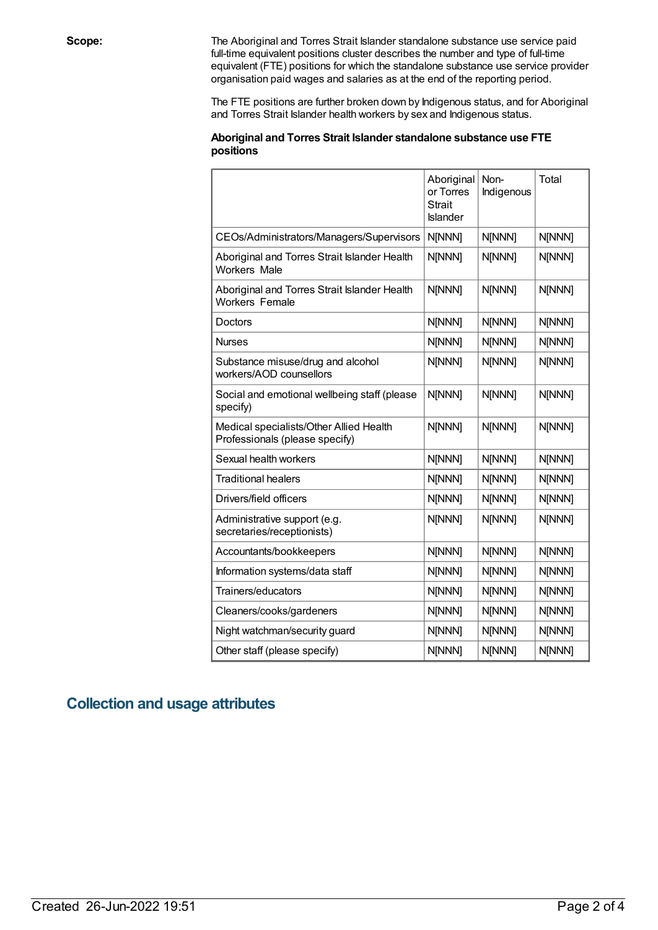**Scope:** The Aboriginal and Torres Strait Islander standalone substance use service paid full-time equivalent positions cluster describes the number and type of full-time equivalent (FTE) positions for which the standalone substance use service provider organisation paid wages and salaries as at the end of the reporting period.

> The FTE positions are further broken down by Indigenous status, and for Aboriginal and Torres Strait Islander health workers by sex and Indigenous status.

#### **Aboriginal and Torres Strait Islander standalone substance use FTE positions**

|                                                                           | Aboriginal<br>or Torres<br><b>Strait</b><br>Islander | Non-<br>Indigenous | Total  |
|---------------------------------------------------------------------------|------------------------------------------------------|--------------------|--------|
| CEOs/Administrators/Managers/Supervisors                                  | N[NNN]                                               | <b>N[NNN]</b>      | N[NNN] |
| Aboriginal and Torres Strait Islander Health<br><b>Workers Male</b>       | N[NNN]                                               | <b>N[NNN]</b>      | N[NNN] |
| Aboriginal and Torres Strait Islander Health<br>Workers Female            | N[NNN]                                               | <b>N[NNN]</b>      | N[NNN] |
| <b>Doctors</b>                                                            | N[NNN]                                               | <b>N[NNN]</b>      | N[NNN] |
| <b>Nurses</b>                                                             | N[NNN]                                               | <b>N[NNN]</b>      | N[NNN] |
| Substance misuse/drug and alcohol<br>workers/AOD counsellors              | N[NNN]                                               | <b>N[NNN]</b>      | N[NNN] |
| Social and emotional wellbeing staff (please<br>specify)                  | N[NNN]                                               | <b>N[NNN]</b>      | N[NNN] |
| Medical specialists/Other Allied Health<br>Professionals (please specify) | N[NNN]                                               | <b>N[NNN]</b>      | N[NNN] |
| Sexual health workers                                                     | N[NNN]                                               | N[NNN]             | N[NNN] |
| <b>Traditional healers</b>                                                | N[NNN]                                               | N[NNN]             | N[NNN] |
| Drivers/field officers                                                    | N[NNN]                                               | N[NNN]             | N[NNN] |
| Administrative support (e.g.<br>secretaries/receptionists)                | N[NNN]                                               | <b>N[NNN]</b>      | N[NNN] |
| Accountants/bookkeepers                                                   | N[NNN]                                               | N[NNN]             | N[NNN] |
| Information systems/data staff                                            | N[NNN]                                               | N[NNN]             | N[NNN] |
| Trainers/educators                                                        | N[NNN]                                               | <b>N[NNN]</b>      | N[NNN] |
| Cleaners/cooks/gardeners                                                  | N[NNN]                                               | N[NNN]             | N[NNN] |
| Night watchman/security guard                                             | N[NNN]                                               | N[NNN]             | N[NNN] |
| Other staff (please specify)                                              | N[NNN]                                               | N[NNN]             | N[NNN] |

### **Collection and usage attributes**